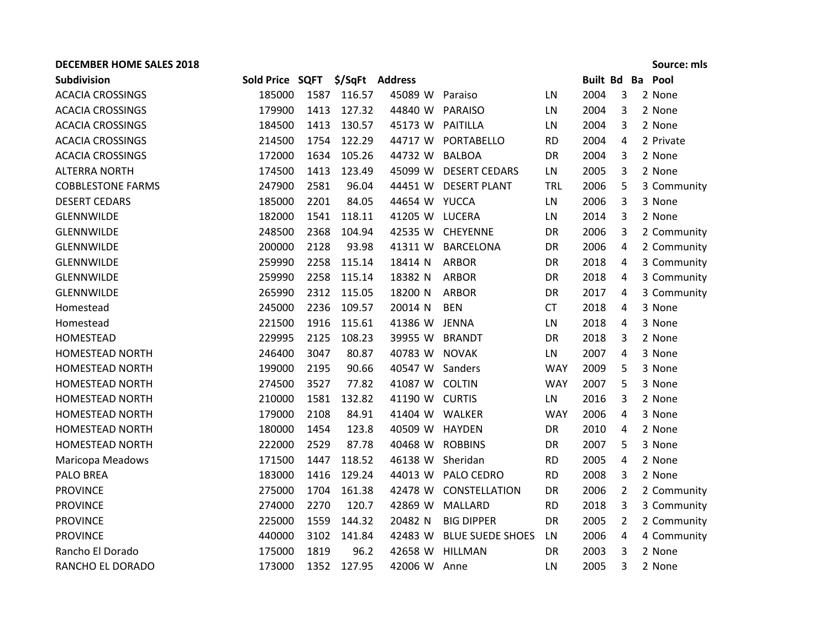## **DECEMBER HOME SALES 2018 Source: mls**

| <b>Subdivision</b>       | Sold Price SQFT |      |        | \$/SqFt Address |                         |            | <b>Built Bd Ba</b> |   | Pool        |
|--------------------------|-----------------|------|--------|-----------------|-------------------------|------------|--------------------|---|-------------|
| <b>ACACIA CROSSINGS</b>  | 185000          | 1587 | 116.57 | 45089 W Paraiso |                         | LN         | 2004               | 3 | 2 None      |
| <b>ACACIA CROSSINGS</b>  | 179900          | 1413 | 127.32 | 44840 W         | PARAISO                 | LN         | 2004               | 3 | 2 None      |
| <b>ACACIA CROSSINGS</b>  | 184500          | 1413 | 130.57 | 45173 W         | PAITILLA                | LN         | 2004               | 3 | 2 None      |
| <b>ACACIA CROSSINGS</b>  | 214500          | 1754 | 122.29 | 44717 W         | PORTABELLO              | <b>RD</b>  | 2004               | 4 | 2 Private   |
| <b>ACACIA CROSSINGS</b>  | 172000          | 1634 | 105.26 | 44732 W         | <b>BALBOA</b>           | DR         | 2004               | 3 | 2 None      |
| <b>ALTERRA NORTH</b>     | 174500          | 1413 | 123.49 | 45099 W         | <b>DESERT CEDARS</b>    | LN         | 2005               | 3 | 2 None      |
| <b>COBBLESTONE FARMS</b> | 247900          | 2581 | 96.04  | 44451 W         | <b>DESERT PLANT</b>     | <b>TRL</b> | 2006               | 5 | 3 Community |
| <b>DESERT CEDARS</b>     | 185000          | 2201 | 84.05  | 44654 W YUCCA   |                         | LN         | 2006               | 3 | 3 None      |
| <b>GLENNWILDE</b>        | 182000          | 1541 | 118.11 | 41205 W         | <b>LUCERA</b>           | LN         | 2014               | 3 | 2 None      |
| <b>GLENNWILDE</b>        | 248500          | 2368 | 104.94 | 42535 W         | <b>CHEYENNE</b>         | DR         | 2006               | 3 | 2 Community |
| <b>GLENNWILDE</b>        | 200000          | 2128 | 93.98  | 41311 W         | <b>BARCELONA</b>        | DR         | 2006               | 4 | 2 Community |
| GLENNWILDE               | 259990          | 2258 | 115.14 | 18414 N         | <b>ARBOR</b>            | DR         | 2018               | 4 | 3 Community |
| <b>GLENNWILDE</b>        | 259990          | 2258 | 115.14 | 18382 N         | <b>ARBOR</b>            | DR         | 2018               | 4 | 3 Community |
| GLENNWILDE               | 265990          | 2312 | 115.05 | 18200 N         | <b>ARBOR</b>            | <b>DR</b>  | 2017               | 4 | 3 Community |
| Homestead                | 245000          | 2236 | 109.57 | 20014 N         | <b>BEN</b>              | <b>CT</b>  | 2018               | 4 | 3 None      |
| Homestead                | 221500          | 1916 | 115.61 | 41386 W JENNA   |                         | LN         | 2018               | 4 | 3 None      |
| <b>HOMESTEAD</b>         | 229995          | 2125 | 108.23 | 39955 W         | <b>BRANDT</b>           | DR         | 2018               | 3 | 2 None      |
| <b>HOMESTEAD NORTH</b>   | 246400          | 3047 | 80.87  | 40783 W         | <b>NOVAK</b>            | LN         | 2007               | 4 | 3 None      |
| <b>HOMESTEAD NORTH</b>   | 199000          | 2195 | 90.66  | 40547 W         | Sanders                 | <b>WAY</b> | 2009               | 5 | 3 None      |
| <b>HOMESTEAD NORTH</b>   | 274500          | 3527 | 77.82  | 41087 W COLTIN  |                         | <b>WAY</b> | 2007               | 5 | 3 None      |
| <b>HOMESTEAD NORTH</b>   | 210000          | 1581 | 132.82 | 41190 W CURTIS  |                         | LN         | 2016               | 3 | 2 None      |
| <b>HOMESTEAD NORTH</b>   | 179000          | 2108 | 84.91  | 41404 W         | WALKER                  | <b>WAY</b> | 2006               | 4 | 3 None      |
| <b>HOMESTEAD NORTH</b>   | 180000          | 1454 | 123.8  | 40509 W         | <b>HAYDEN</b>           | DR         | 2010               | 4 | 2 None      |
| <b>HOMESTEAD NORTH</b>   | 222000          | 2529 | 87.78  | 40468 W         | <b>ROBBINS</b>          | DR         | 2007               | 5 | 3 None      |
| Maricopa Meadows         | 171500          | 1447 | 118.52 | 46138 W         | Sheridan                | <b>RD</b>  | 2005               | 4 | 2 None      |
| PALO BREA                | 183000          | 1416 | 129.24 | 44013 W         | PALO CEDRO              | <b>RD</b>  | 2008               | 3 | 2 None      |
| <b>PROVINCE</b>          | 275000          | 1704 | 161.38 | 42478 W         | CONSTELLATION           | <b>DR</b>  | 2006               | 2 | 2 Community |
| <b>PROVINCE</b>          | 274000          | 2270 | 120.7  | 42869 W         | MALLARD                 | <b>RD</b>  | 2018               | 3 | 3 Community |
| <b>PROVINCE</b>          | 225000          | 1559 | 144.32 | 20482 N         | <b>BIG DIPPER</b>       | DR         | 2005               | 2 | 2 Community |
| <b>PROVINCE</b>          | 440000          | 3102 | 141.84 | 42483 W         | <b>BLUE SUEDE SHOES</b> | LN         | 2006               | 4 | 4 Community |
| Rancho El Dorado         | 175000          | 1819 | 96.2   | 42658 W         | <b>HILLMAN</b>          | DR         | 2003               | 3 | 2 None      |
| RANCHO EL DORADO         | 173000          | 1352 | 127.95 | 42006 W         | Anne                    | LN         | 2005               | 3 | 2 None      |